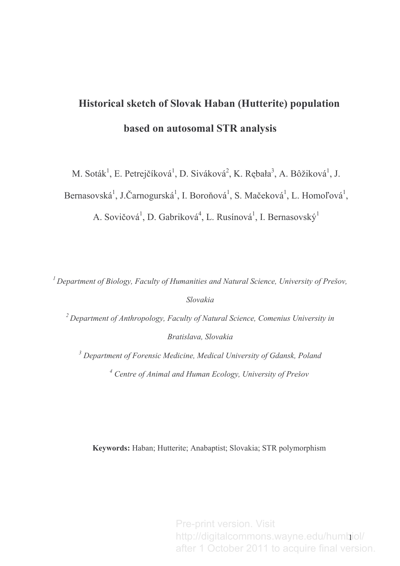# Historical sketch of Slovak Haban (Hutterite) population based on autosomal STR analysis

M. Soták<sup>1</sup>, E. Petrejčíková<sup>1</sup>, D. Siváková<sup>2</sup>, K. Rębała<sup>3</sup>, A. Bôžiková<sup>1</sup>, J.

Bernasovská<sup>1</sup>, J.Čarnogurská<sup>1</sup>, I. Boroňová<sup>1</sup>, S. Mačeková<sup>1</sup>, L. Homoľová<sup>1</sup>,

A. Sovičová<sup>1</sup>, D. Gabriková<sup>4</sup>, L. Rusínová<sup>1</sup>, I. Bernasovský<sup>1</sup>

<sup>1</sup> Department of Biology, Faculty of Humanities and Natural Science, University of Prešov, Slovakia

<sup>2</sup> Department of Anthropology, Faculty of Natural Science, Comenius University in Bratislava, Slovakia

 $3$  Department of Forensic Medicine, Medical University of Gdansk, Poland <sup>4</sup> Centre of Animal and Human Ecology, University of Prešov

Keywords: Haban; Hutterite; Anabaptist; Slovakia; STR polymorphism

-http://digitalcommons.wayne.edu/humbiol/ Pre-print version. Visit after 1 October 2011 to acquire final version.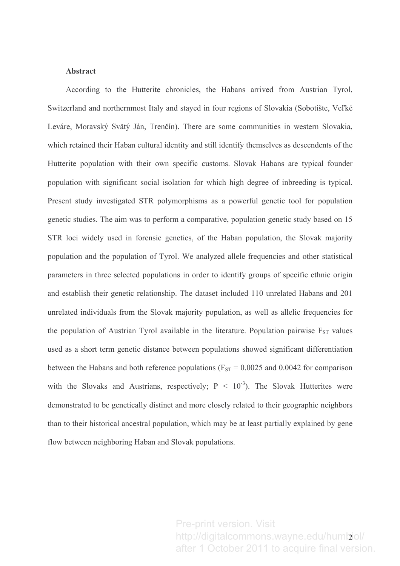#### **Abstract**

According to the Hutterite chronicles, the Habans arrived from Austrian Tyrol, Switzerland and northernmost Italy and stayed in four regions of Slovakia (Sobotište, Veľké Leváre, Moravský Svätý Ján, Trenčín). There are some communities in western Slovakia, which retained their Haban cultural identity and still identify themselves as descendents of the Hutterite population with their own specific customs. Slovak Habans are typical founder population with significant social isolation for which high degree of inbreeding is typical. Present study investigated STR polymorphisms as a powerful genetic tool for population genetic studies. The aim was to perform a comparative, population genetic study based on 15 STR loci widely used in forensic genetics, of the Haban population, the Slovak majority population and the population of Tyrol. We analyzed allele frequencies and other statistical parameters in three selected populations in order to identify groups of specific ethnic origin and establish their genetic relationship. The dataset included 110 unrelated Habans and 201 unrelated individuals from the Slovak majority population, as well as allelic frequencies for the population of Austrian Tyrol available in the literature. Population pairwise  $F_{ST}$  values used as a short term genetic distance between populations showed significant differentiation between the Habans and both reference populations ( $F_{ST} = 0.0025$  and 0.0042 for comparison with the Slovaks and Austrians, respectively;  $P < 10^{-3}$ ). The Slovak Hutterites were demonstrated to be genetically distinct and more closely related to their geographic neighbors than to their historical ancestral population, which may be at least partially explained by gene flow between neighboring Haban and Slovak populations.

> http://digitalcommons.wayne.edu/humbiol/ Pre-print version. Visit after 1 October 2011 to acquire final version.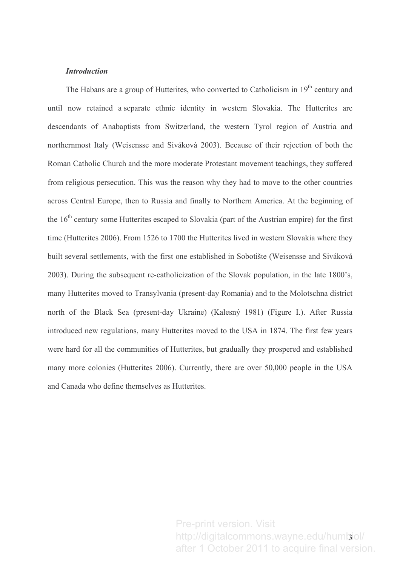#### **Introduction**

The Habans are a group of Hutterites, who converted to Catholicism in 19<sup>th</sup> century and until now retained a separate ethnic identity in western Slovakia. The Hutterites are descendants of Anabaptists from Switzerland, the western Tyrol region of Austria and northernmost Italy (Weisensse and Siváková 2003). Because of their rejection of both the Roman Catholic Church and the more moderate Protestant movement teachings, they suffered from religious persecution. This was the reason why they had to move to the other countries across Central Europe, then to Russia and finally to Northern America. At the beginning of the  $16<sup>th</sup>$  century some Hutterites escaped to Slovakia (part of the Austrian empire) for the first time (Hutterites 2006). From 1526 to 1700 the Hutterites lived in western Slovakia where they built several settlements, with the first one established in Sobotište (Weisensse and Siváková 2003). During the subsequent re-catholicization of the Slovak population, in the late 1800's, many Hutterites moved to Transylvania (present-day Romania) and to the Molotschna district north of the Black Sea (present-day Ukraine) (Kalesný 1981) (Figure I.). After Russia introduced new regulations, many Hutterites moved to the USA in 1874. The first few years were hard for all the communities of Hutterites, but gradually they prospered and established many more colonies (Hutterites 2006). Currently, there are over 50,000 people in the USA and Canada who define themselves as Hutterites.

> http://digitalcommons.wayne.edu/humbiol/ Pre-print version. Visit after 1 October 2011 to acquire final version.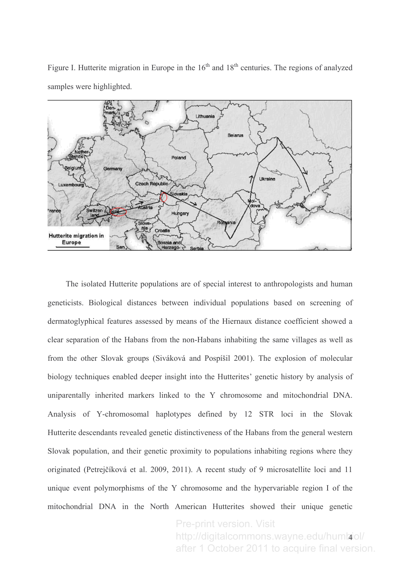Figure I. Hutterite migration in Europe in the  $16<sup>th</sup>$  and  $18<sup>th</sup>$  centuries. The regions of analyzed samples were highlighted.



The isolated Hutterite populations are of special interest to anthropologists and human geneticists. Biological distances between individual populations based on screening of dermatoglyphical features assessed by means of the Hiernaux distance coefficient showed a clear separation of the Habans from the non-Habans inhabiting the same villages as well as from the other Slovak groups (Siváková and Pospíšil 2001). The explosion of molecular biology techniques enabled deeper insight into the Hutterites' genetic history by analysis of uniparentally inherited markers linked to the Y chromosome and mitochondrial DNA. Analysis of Y-chromosomal haplotypes defined by 12 STR loci in the Slovak Hutterite descendants revealed genetic distinctiveness of the Habans from the general western Slovak population, and their genetic proximity to populations inhabiting regions where they originated (Petrejčíková et al. 2009, 2011). A recent study of 9 microsatellite loci and 11 unique event polymorphisms of the Y chromosome and the hypervariable region I of the mitochondrial DNA in the North American Hutterites showed their unique genetic

> . http://digitalcommons.wayne.edu/humbiol/ Pre-print version. Visit after 1 October 2011 to acquire final version.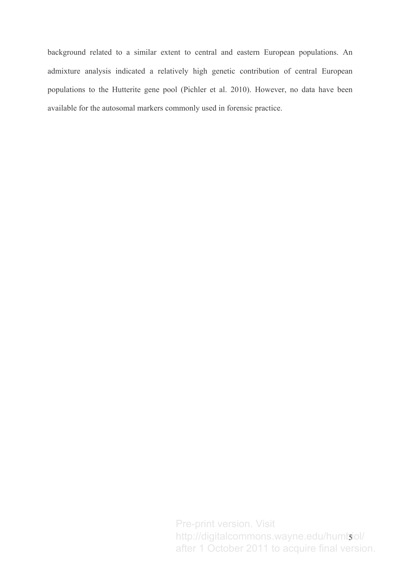background related to a similar extent to central and eastern European populations. An admixture analysis indicated a relatively high genetic contribution of central European populations to the Hutterite gene pool (Pichler et al. 2010). However, no data have been available for the autosomal markers commonly used in forensic practice.

> A http://digitalcommons.wayne.edu/humbiol/ Pre-print version. Visit after 1 October 2011 to acquire final version.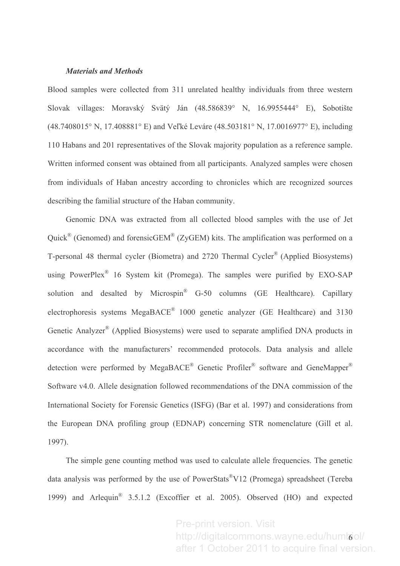#### **Materials and Methods**

Blood samples were collected from 311 unrelated healthy individuals from three western Slovak villages: Moravský Svätý Ján (48.586839° N, 16.9955444° E), Sobotište (48.7408015° N, 17.408881° E) and Veľké Leváre (48.503181° N, 17.0016977° E), including 110 Habans and 201 representatives of the Slovak majority population as a reference sample. Written informed consent was obtained from all participants. Analyzed samples were chosen from individuals of Haban ancestry according to chronicles which are recognized sources describing the familial structure of the Haban community.

Genomic DNA was extracted from all collected blood samples with the use of Jet Quick<sup>®</sup> (Genomed) and forensicGEM<sup>®</sup> (ZyGEM) kits. The amplification was performed on a T-personal 48 thermal cycler (Biometra) and 2720 Thermal Cycler<sup>®</sup> (Applied Biosystems) using PowerPlex<sup>®</sup> 16 System kit (Promega). The samples were purified by EXO-SAP solution and desalted by Microspin<sup>®</sup> G-50 columns (GE Healthcare). Capillary electrophoresis systems MegaBACE® 1000 genetic analyzer (GE Healthcare) and 3130 Genetic Analyzer® (Applied Biosystems) were used to separate amplified DNA products in accordance with the manufacturers' recommended protocols. Data analysis and allele detection were performed by MegaBACE® Genetic Profiler® software and GeneMapper® Software v4.0. Allele designation followed recommendations of the DNA commission of the International Society for Forensic Genetics (ISFG) (Bar et al. 1997) and considerations from the European DNA profiling group (EDNAP) concerning STR nomenclature (Gill et al. 1997).

The simple gene counting method was used to calculate allele frequencies. The genetic data analysis was performed by the use of PowerStats®V12 (Promega) spreadsheet (Tereba 1999) and Arlequin<sup>®</sup> 3.5.1.2 (Excoffier et al. 2005). Observed (HO) and expected

> http://digitalcommons.wayne.edu/humlool/ Pre-print version. Visit after 1 October 2011 to acquire final version.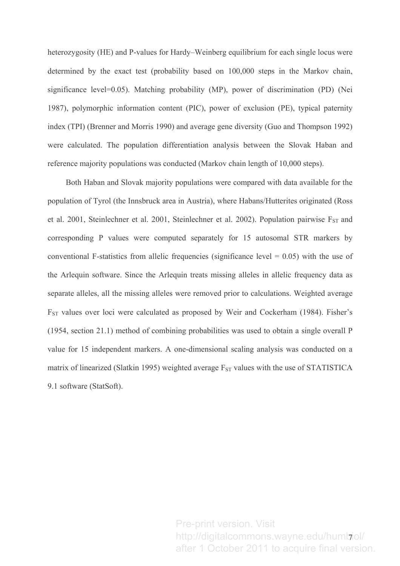heterozygosity (HE) and P-values for Hardy–Weinberg equilibrium for each single locus were determined by the exact test (probability based on 100,000 steps in the Markov chain, significance level=0.05). Matching probability (MP), power of discrimination (PD) (Nei 1987), polymorphic information content (PIC), power of exclusion (PE), typical paternity index (TPI) (Brenner and Morris 1990) and average gene diversity (Guo and Thompson 1992) were calculated. The population differentiation analysis between the Slovak Haban and reference majority populations was conducted (Markov chain length of 10,000 steps).

Both Haban and Slovak majority populations were compared with data available for the population of Tyrol (the Innsbruck area in Austria), where Habans/Hutterites originated (Ross et al. 2001, Steinlechner et al. 2001, Steinlechner et al. 2002). Population pairwise  $F_{ST}$  and corresponding P values were computed separately for 15 autosomal STR markers by conventional F-statistics from allelic frequencies (significance level =  $0.05$ ) with the use of the Arlequin software. Since the Arlequin treats missing alleles in allelic frequency data as separate alleles, all the missing alleles were removed prior to calculations. Weighted average  $F_{ST}$  values over loci were calculated as proposed by Weir and Cockerham (1984). Fisher's  $(1954, \text{ section } 21.1)$  method of combining probabilities was used to obtain a single overall P value for 15 independent markers. A one-dimensional scaling analysis was conducted on a matrix of linearized (Slatkin 1995) weighted average  $F_{ST}$  values with the use of STATISTICA 9.1 software (StatSoft).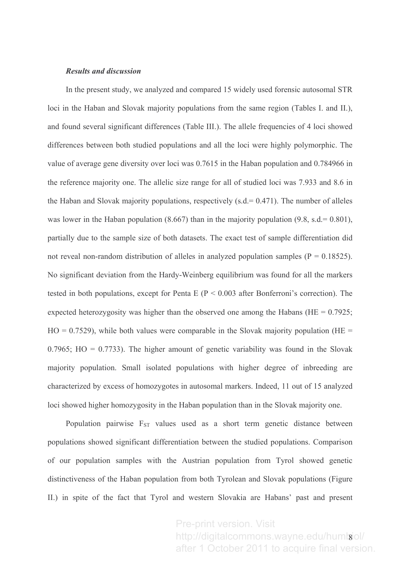#### **Results and discussion**

In the present study, we analyzed and compared 15 widely used forensic autosomal STR loci in the Haban and Slovak majority populations from the same region (Tables I. and II.), and found several significant differences (Table III.). The allele frequencies of 4 loci showed differences between both studied populations and all the loci were highly polymorphic. The value of average gene diversity over loci was 0.7615 in the Haban population and 0.784966 in the reference majority one. The allelic size range for all of studied loci was 7.933 and 8.6 in the Haban and Slovak majority populations, respectively  $(s.d = 0.471)$ . The number of alleles was lower in the Haban population  $(8.667)$  than in the majority population  $(9.8, s.d = 0.801)$ , partially due to the sample size of both datasets. The exact test of sample differentiation did not reveal non-random distribution of alleles in analyzed population samples ( $P = 0.18525$ ). No significant deviation from the Hardy-Weinberg equilibrium was found for all the markers tested in both populations, except for Penta E ( $P < 0.003$  after Bonferroni's correction). The expected heterozygosity was higher than the observed one among the Habans (HE =  $0.7925$ ;  $HO = 0.7529$ , while both values were comparable in the Slovak majority population (HE =  $0.7965$ ; HO = 0.7733). The higher amount of genetic variability was found in the Slovak majority population. Small isolated populations with higher degree of inbreeding are characterized by excess of homozygotes in autosomal markers. Indeed, 11 out of 15 analyzed loci showed higher homozygosity in the Haban population than in the Slovak majority one.

Population pairwise  $F_{ST}$  values used as a short term genetic distance between populations showed significant differentiation between the studied populations. Comparison of our population samples with the Austrian population from Tyrol showed genetic distinctiveness of the Haban population from both Tyrolean and Slovak populations (Figure II.) in spite of the fact that Tyrol and western Slovakia are Habans' past and present

> http://digitalcommons.wayne.edu/huml**g**iol/ Pre-print version. Visit after 1 October 2011 to acquire final version.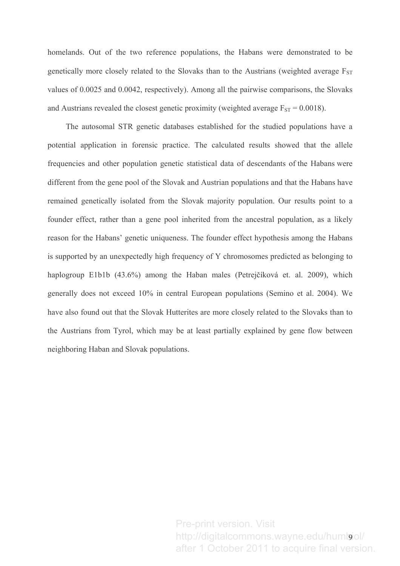homelands. Out of the two reference populations, the Habans were demonstrated to be genetically more closely related to the Slovaks than to the Austrians (weighted average  $F_{ST}$ ) values of 0.0025 and 0.0042, respectively). Among all the pairwise comparisons, the Slovaks and Austrians revealed the closest genetic proximity (weighted average  $F_{ST} = 0.0018$ ).

The autosomal STR genetic databases established for the studied populations have a potential application in forensic practice. The calculated results showed that the allele frequencies and other population genetic statistical data of descendants of the Habans were different from the gene pool of the Slovak and Austrian populations and that the Habans have remained genetically isolated from the Slovak majority population. Our results point to a founder effect, rather than a gene pool inherited from the ancestral population, as a likely reason for the Habans' genetic uniqueness. The founder effect hypothesis among the Habans is supported by an unexpectedly high frequency of Y chromosomes predicted as belonging to haplogroup E1b1b (43.6%) among the Haban males (Petrejčíková et. al. 2009), which generally does not exceed 10% in central European populations (Semino et al. 2004). We have also found out that the Slovak Hutterites are more closely related to the Slovaks than to the Austrians from Tyrol, which may be at least partially explained by gene flow between neighboring Haban and Slovak populations.

> http://digitalcommons.wayne.edu/huml**g**iol/ Pre-print version. Visit after 1 October 2011 to acquire final version.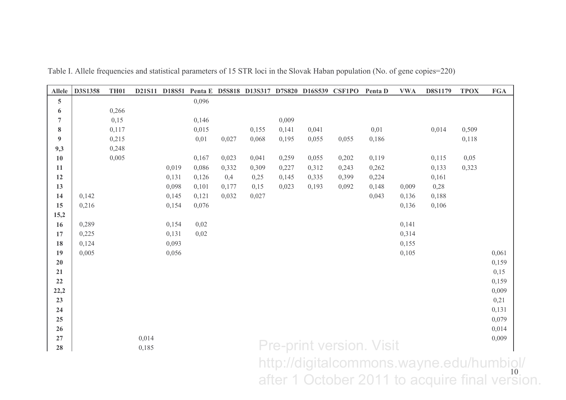| <b>Allele</b>    | D3S1358                                | <b>TH01</b> |       | D21S11 D18S51 |       |       |       |       | Penta E D5S818 D13S317 D7S820 D16S539 CSF1PO |       | Penta D                         | <b>VWA</b> | D8S1179 | <b>TPOX</b> | $\mathbf{FGA}$ |
|------------------|----------------------------------------|-------------|-------|---------------|-------|-------|-------|-------|----------------------------------------------|-------|---------------------------------|------------|---------|-------------|----------------|
| 5                |                                        |             |       |               | 0,096 |       |       |       |                                              |       |                                 |            |         |             |                |
| 6                |                                        | 0,266       |       |               |       |       |       |       |                                              |       |                                 |            |         |             |                |
| $\overline{7}$   |                                        | 0,15        |       |               | 0,146 |       |       | 0,009 |                                              |       |                                 |            |         |             |                |
| $\bf{8}$         |                                        | 0,117       |       |               | 0,015 |       | 0,155 | 0,141 | 0,041                                        |       | 0,01                            |            | 0,014   | 0,509       |                |
| $\boldsymbol{9}$ |                                        | 0,215       |       |               | 0,01  | 0,027 | 0,068 | 0,195 | 0,055                                        | 0,055 | 0,186                           |            |         | 0,118       |                |
| 9,3              |                                        | 0,248       |       |               |       |       |       |       |                                              |       |                                 |            |         |             |                |
| 10               |                                        | 0,005       |       |               | 0,167 | 0,023 | 0,041 | 0,259 | 0,055                                        | 0,202 | 0,119                           |            | 0,115   | 0,05        |                |
| 11               |                                        |             |       | 0,019         | 0,086 | 0,332 | 0,309 | 0,227 | 0,312                                        | 0,243 | 0,262                           |            | 0,133   | 0,323       |                |
| 12               |                                        |             |       | 0,131         | 0,126 | 0,4   | 0,25  | 0,145 | 0,335                                        | 0,399 | 0,224                           |            | 0,161   |             |                |
| 13               |                                        |             |       | 0,098         | 0,101 | 0,177 | 0,15  | 0,023 | 0,193                                        | 0,092 | 0,148                           | 0,009      | 0,28    |             |                |
| 14               | 0,142                                  |             |       | 0,145         | 0,121 | 0,032 | 0,027 |       |                                              |       | 0,043                           | 0,136      | 0,188   |             |                |
| 15               | 0,216                                  |             |       | 0,154         | 0,076 |       |       |       |                                              |       |                                 | 0,136      | 0,106   |             |                |
| 15,2             |                                        |             |       |               |       |       |       |       |                                              |       |                                 |            |         |             |                |
| 16               | 0,289                                  |             |       | 0,154         | 0,02  |       |       |       |                                              |       |                                 | 0,141      |         |             |                |
| 17               | 0,225                                  |             |       | 0,131         | 0,02  |       |       |       |                                              |       |                                 | 0,314      |         |             |                |
| 18               | 0,124                                  |             |       | 0,093         |       |       |       |       |                                              |       |                                 | 0,155      |         |             |                |
| 19               | 0,005                                  |             |       | 0,056         |       |       |       |       |                                              |       |                                 | 0,105      |         |             | 0,061          |
| 20               |                                        |             |       |               |       |       |       |       |                                              |       |                                 |            |         |             | 0,159          |
| 21               |                                        |             |       |               |       |       |       |       |                                              |       |                                 |            |         |             | 0,15           |
| 22               |                                        |             |       |               |       |       |       |       |                                              |       |                                 |            |         |             | 0,159          |
| 22,2<br>23       |                                        |             |       |               |       |       |       |       |                                              |       |                                 |            |         |             | 0,009<br>0,21  |
| 24               |                                        |             |       |               |       |       |       |       |                                              |       |                                 |            |         |             | 0,131          |
| 25               |                                        |             |       |               |       |       |       |       |                                              |       |                                 |            |         |             | 0,079          |
| 26               |                                        |             |       |               |       |       |       |       |                                              |       |                                 |            |         |             | 0,014          |
| 27               |                                        |             | 0,014 |               |       |       |       |       |                                              |       |                                 |            |         |             | 0,009          |
| 28               |                                        |             | 0,185 |               |       |       |       |       |                                              |       | <b>Pre-print version. Visit</b> |            |         |             |                |
|                  |                                        |             |       |               |       |       |       |       |                                              |       |                                 |            |         |             |                |
|                  | http://digitalcommons.wayne.edu/humbig |             |       |               |       |       |       |       |                                              |       |                                 |            |         |             |                |

Table I. Allele frequencies and statistical parameters of 15 STR loci in the Slovak Haban population (No. of gene copies=220)

 $\frac{10}{2}$ http://digitalcommons.wayne.edu/humbiol/<br>after 1 October 2011 to acquire final version.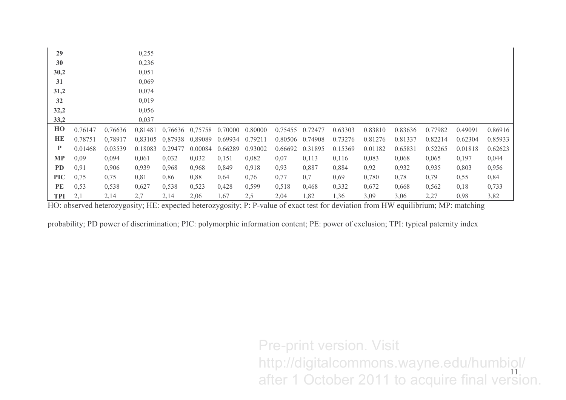| 29           |         |         | 0,255   |         |         |         |         |         |         |         |         |         |         |         |         |
|--------------|---------|---------|---------|---------|---------|---------|---------|---------|---------|---------|---------|---------|---------|---------|---------|
| 30           |         |         | 0,236   |         |         |         |         |         |         |         |         |         |         |         |         |
| 30,2         |         |         | 0,051   |         |         |         |         |         |         |         |         |         |         |         |         |
| 31           |         |         | 0,069   |         |         |         |         |         |         |         |         |         |         |         |         |
| 31,2         |         |         | 0,074   |         |         |         |         |         |         |         |         |         |         |         |         |
| 32           |         |         | 0,019   |         |         |         |         |         |         |         |         |         |         |         |         |
| 32,2         |         |         | 0,056   |         |         |         |         |         |         |         |         |         |         |         |         |
| 33,2         |         |         | 0,037   |         |         |         |         |         |         |         |         |         |         |         |         |
| HO           | 0.76147 | 0,76636 | 0,81481 | 0,76636 | 0,75758 | 0.70000 | 0.80000 | 0.75455 | 0.72477 | 0.63303 | 0.83810 | 0.83636 | 0.77982 | 0.49091 | 0.86916 |
| HE           | 0.78751 | 0,78917 | 0,83105 | 0,87938 | 0,89089 | 0.69934 | 0.79211 | 0.80506 | 0.74908 | 0.73276 | 0.81276 | 0.81337 | 0.82214 | 0.62304 | 0.85933 |
| $\mathbf{P}$ | 0.01468 | 0.03539 | 0.18083 | 0.29477 | 0.00084 | 0.66289 | 0.93002 | 0.66692 | 0.31895 | 0.15369 | 0.01182 | 0.65831 | 0.52265 | 0.01818 | 0.62623 |
| <b>MP</b>    | 0,09    | 0,094   | 0,061   | 0,032   | 0,032   | 0,151   | 0,082   | 0,07    | 0,113   | 0,116   | 0,083   | 0,068   | 0,065   | 0,197   | 0,044   |
| <b>PD</b>    | 0,91    | 0,906   | 0,939   | 0,968   | 0,968   | 0,849   | 0,918   | 0,93    | 0,887   | 0,884   | 0,92    | 0,932   | 0,935   | 0,803   | 0,956   |
| <b>PIC</b>   | 0,75    | 0,75    | 0,81    | 0,86    | 0,88    | 0,64    | 0,76    | 0,77    | 0,7     | 0,69    | 0,780   | 0,78    | 0,79    | 0,55    | 0,84    |
| PE           | 0,53    | 0,538   | 0,627   | 0,538   | 0,523   | 0,428   | 0,599   | 0,518   | 0,468   | 0,332   | 0,672   | 0,668   | 0,562   | 0,18    | 0,733   |
| <b>TPI</b>   | 2,1     | 2,14    | 2,7     | 2,14    | 2,06    | 1,67    | 2,5     | 2,04    | 1,82    | 1,36    | 3,09    | 3,06    | 2,27    | 0,98    | 3,82    |

HO: observed heterozygosity; HE: expected heterozygosity; P: P-value of exact test for deviation from HW equilibrium; MP: matching

probability; PD power of discrimination; PIC: polymorphic information content; PE: power of exclusion; TPI: typical paternity index

11 Pre-print version. Visit http://digitalcommons.wayne.edu/humbiol/<br>after 1 October 2011 to acquire final version.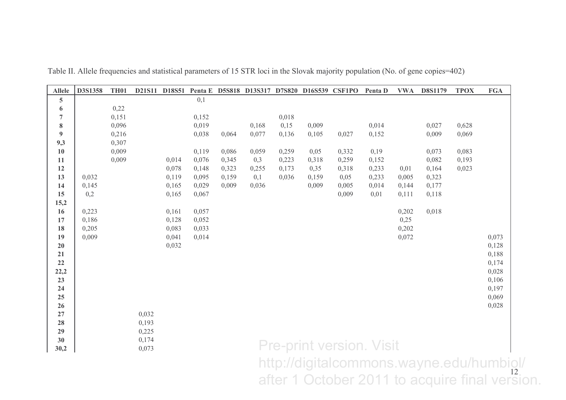| <b>Allele</b>  | D3S1358 | <b>TH01</b>    |       |       |                |                |              |                |               | D21S11 D18S51 Penta E D5S818 D13S317 D7S820 D16S539 CSF1PO Penta D |               | <b>VWA</b> | <b>D8S1179</b>                                 | <b>TPOX</b>    | <b>FGA</b>     |
|----------------|---------|----------------|-------|-------|----------------|----------------|--------------|----------------|---------------|--------------------------------------------------------------------|---------------|------------|------------------------------------------------|----------------|----------------|
| 5              |         |                |       |       | 0,1            |                |              |                |               |                                                                    |               |            |                                                |                |                |
| 6              |         | 0,22           |       |       |                |                |              |                |               |                                                                    |               |            |                                                |                |                |
| $\overline{7}$ |         | 0,151          |       |       | 0,152          |                |              | 0,018          |               |                                                                    |               |            |                                                |                |                |
| ${\bf 8}$      |         | 0,096          |       |       | 0,019          |                | 0,168        | 0,15           | 0,009         |                                                                    | 0,014         |            | 0,027                                          | 0,628          |                |
| 9              |         | 0,216          |       |       | 0,038          | 0,064          | 0,077        | 0,136          | 0,105         | 0,027                                                              | 0,152         |            | 0,009                                          | 0,069          |                |
| 9,3            |         | 0,307          |       |       |                |                |              |                |               |                                                                    |               |            |                                                |                |                |
| 10<br>11       |         | 0,009<br>0,009 |       | 0,014 | 0,119<br>0,076 | 0,086<br>0,345 | 0,059<br>0,3 | 0,259<br>0,223 | 0,05<br>0,318 | 0,332<br>0,259                                                     | 0,19<br>0,152 |            | 0,073<br>0,082                                 | 0,083<br>0,193 |                |
| 12             |         |                |       | 0,078 | 0,148          | 0,323          | 0,255        | 0,173          | 0,35          | 0,318                                                              | 0,233         | 0,01       | 0,164                                          | 0,023          |                |
| 13             | 0,032   |                |       | 0,119 | 0,095          | 0,159          | 0,1          | 0,036          | 0,159         | 0,05                                                               | 0,233         | 0,005      | 0,323                                          |                |                |
| 14             | 0,145   |                |       | 0,165 | 0,029          | 0,009          | 0,036        |                | 0,009         | 0,005                                                              | 0,014         | 0,144      | 0,177                                          |                |                |
| 15             | 0,2     |                |       | 0,165 | 0,067          |                |              |                |               | 0,009                                                              | 0,01          | 0,111      | 0,118                                          |                |                |
| 15,2           |         |                |       |       |                |                |              |                |               |                                                                    |               |            |                                                |                |                |
| 16             | 0,223   |                |       | 0,161 | 0,057          |                |              |                |               |                                                                    |               | 0,202      | 0,018                                          |                |                |
| 17             | 0,186   |                |       | 0,128 | 0,052          |                |              |                |               |                                                                    |               | 0,25       |                                                |                |                |
| 18             | 0,205   |                |       | 0,083 | 0,033          |                |              |                |               |                                                                    |               | 0,202      |                                                |                |                |
| 19             | 0,009   |                |       | 0,041 | 0,014          |                |              |                |               |                                                                    |               | 0,072      |                                                |                | 0,073          |
| 20             |         |                |       | 0,032 |                |                |              |                |               |                                                                    |               |            |                                                |                | 0,128          |
| 21             |         |                |       |       |                |                |              |                |               |                                                                    |               |            |                                                |                | 0,188          |
| 22             |         |                |       |       |                |                |              |                |               |                                                                    |               |            |                                                |                | 0,174          |
| 22,2           |         |                |       |       |                |                |              |                |               |                                                                    |               |            |                                                |                | 0,028          |
| 23<br>24       |         |                |       |       |                |                |              |                |               |                                                                    |               |            |                                                |                | 0,106          |
| 25             |         |                |       |       |                |                |              |                |               |                                                                    |               |            |                                                |                | 0,197<br>0,069 |
| 26             |         |                |       |       |                |                |              |                |               |                                                                    |               |            |                                                |                | 0,028          |
| 27             |         |                | 0,032 |       |                |                |              |                |               |                                                                    |               |            |                                                |                |                |
| 28             |         |                | 0,193 |       |                |                |              |                |               |                                                                    |               |            |                                                |                |                |
| 29             |         |                | 0,225 |       |                |                |              |                |               |                                                                    |               |            |                                                |                |                |
| 30             |         |                | 0,174 |       |                |                |              |                |               |                                                                    |               |            |                                                |                |                |
| 30,2           |         |                | 0,073 |       |                |                |              |                |               | <b>Pre-print version. Visit</b>                                    |               |            |                                                |                |                |
|                |         |                |       |       |                |                |              |                |               |                                                                    |               |            | http://digitalcommons.wayne.edu/humbiol/       |                |                |
|                |         |                |       |       |                |                |              |                |               |                                                                    |               |            |                                                |                |                |
|                |         |                |       |       |                |                |              |                |               |                                                                    |               |            | after 1 October 2011 to acquire final version. |                |                |
|                |         |                |       |       |                |                |              |                |               |                                                                    |               |            |                                                |                |                |

Table II. Allele frequencies and statistical parameters of 15 STR loci in the Slovak majority population (No. of gene copies=402)

 $\frac{12}{\sqrt{2}}$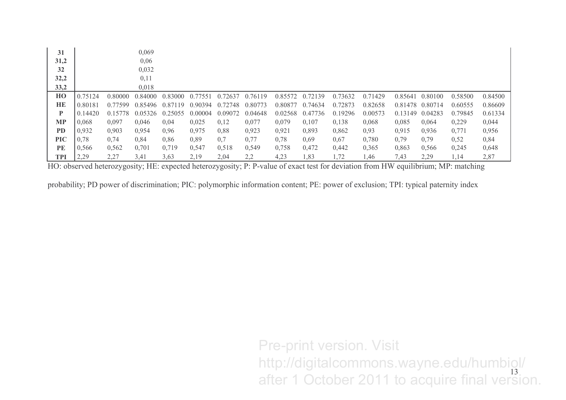| 31         |         |         | 0,069   |         |         |         |         |         |         |         |         |                 |         |         |         |
|------------|---------|---------|---------|---------|---------|---------|---------|---------|---------|---------|---------|-----------------|---------|---------|---------|
| 31,2       |         |         | 0,06    |         |         |         |         |         |         |         |         |                 |         |         |         |
| 32         |         |         | 0,032   |         |         |         |         |         |         |         |         |                 |         |         |         |
| 32,2       |         |         | 0,11    |         |         |         |         |         |         |         |         |                 |         |         |         |
| 33,2       |         |         | 0,018   |         |         |         |         |         |         |         |         |                 |         |         |         |
| HO         | 0.75124 | 0.80000 | 0.84000 | 0.83000 | 0.77551 | 0.72637 | 0.76119 | 0.85572 | 0.72139 | 0.73632 | 0.71429 | 0.85641         | 0.80100 | 0.58500 | 0.84500 |
| HE         | 0.80181 | 0.77599 | 0.85496 | 0.87119 | 0.90394 | 0.72748 | 0.80773 | 0.80877 | 0.74634 | 0.72873 | 0.82658 | 0.81478 0.80714 |         | 0.60555 | 0.86609 |
| P          | 0.14420 | 0.15778 | 0.05326 | 0.25055 | 0.00004 | 0.09072 | 0.04648 | 0.02568 | 0.47736 | 0.19296 | 0.00573 | 0.13149         | 0.04283 | 0.79845 | 0.61334 |
| MP         | 0,068   | 0,097   | 0,046   | 0.04    | 0,025   | 0,12    | 0,077   | 0,079   | 0,107   | 0,138   | 0,068   | 0,085           | 0,064   | 0,229   | 0,044   |
| <b>PD</b>  | 0,932   | 0,903   | 0,954   | 0,96    | 0,975   | 0,88    | 0,923   | 0,921   | 0,893   | 0,862   | 0,93    | 0,915           | 0,936   | 0,771   | 0,956   |
| <b>PIC</b> | 0,78    | 0,74    | 0.84    | 0,86    | 0,89    | 0,7     | 0,77    | 0,78    | 0,69    | 0,67    | 0,780   | 0.79            | 0,79    | 0,52    | 0,84    |
| PE         | 0,566   | 0,562   | 0,701   | 0,719   | 0,547   | 0,518   | 0,549   | 0,758   | 0,472   | 0,442   | 0,365   | 0,863           | 0,566   | 0,245   | 0,648   |
| TPI        | 2,29    | 2,27    | 3.41    | 3,63    | 2,19    | 2,04    | 2,2     | 4,23    | 1,83    | 1,72    | 1.46    | 7,43            | 2,29    | 1,14    | 2,87    |

HO: observed heterozygosity; HE: expected heterozygosity; P: P-value of exact test for deviation from HW equilibrium; MP: matching

probability; PD power of discrimination; PIC: polymorphic information content; PE: power of exclusion; TPI: typical paternity index

<sup>13</sup> Pre-print version. Visit http://digitalcommons.wayne.edu/humbiol/<br>after 1 October 2011 to acquire final version.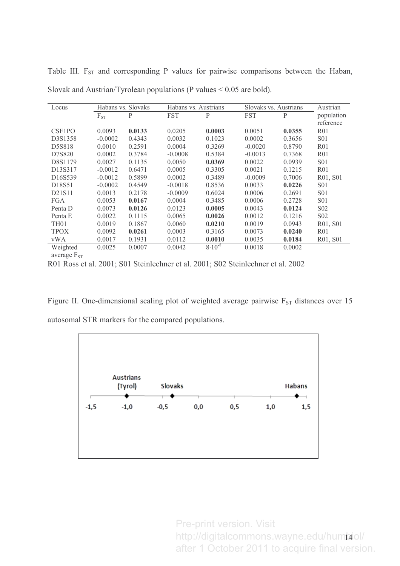| Locus                |           | Habans vs. Slovaks | Habans vs. Austrians |             | Slovaks vs. Austrians | Austrian     |                  |
|----------------------|-----------|--------------------|----------------------|-------------|-----------------------|--------------|------------------|
|                      | $F_{ST}$  | P                  | <b>FST</b>           | P           | <b>FST</b>            | $\mathbf{P}$ | population       |
|                      |           |                    |                      |             |                       |              | reference        |
| CSF <sub>1</sub> PO  | 0.0093    | 0.0133             | 0.0205               | 0.0003      | 0.0051                | 0.0355       | R <sub>01</sub>  |
| D3S1358              | $-0.0002$ | 0.4343             | 0.0032               | 0.1023      | 0.0002                | 0.3656       | <b>S01</b>       |
| D5S818               | 0.0010    | 0.2591             | 0.0004               | 0.3269      | $-0.0020$             | 0.8790       | R <sub>01</sub>  |
| D7S820               | 0.0002    | 0.3784             | $-0.0008$            | 0.5384      | $-0.0013$             | 0.7368       | R <sub>01</sub>  |
| D8S1179              | 0.0027    | 0.1135             | 0.0050               | 0.0369      | 0.0022                | 0.0939       | S <sub>01</sub>  |
| D13S317              | $-0.0012$ | 0.6471             | 0.0005               | 0.3305      | 0.0021                | 0.1215       | R <sub>01</sub>  |
| D <sub>16</sub> S539 | $-0.0012$ | 0.5899             | 0.0002               | 0.3489      | $-0.0009$             | 0.7006       | R01, S01         |
| D18S51               | $-0.0002$ | 0.4549             | $-0.0018$            | 0.8536      | 0.0033                | 0.0226       | S <sub>0</sub> 1 |
| D21S11               | 0.0013    | 0.2178             | $-0.0009$            | 0.6024      | 0.0006                | 0.2691       | S <sub>0</sub> 1 |
| <b>FGA</b>           | 0.0053    | 0.0167             | 0.0004               | 0.3485      | 0.0006                | 0.2728       | S <sub>0</sub> 1 |
| Penta D              | 0.0073    | 0.0126             | 0.0123               | 0.0005      | 0.0043                | 0.0124       | S <sub>0</sub> 2 |
| Penta E              | 0.0022    | 0.1115             | 0.0065               | 0.0026      | 0.0012                | 0.1216       | S <sub>0</sub> 2 |
| TH <sub>01</sub>     | 0.0019    | 0.1867             | 0.0060               | 0.0210      | 0.0019                | 0.0943       | R01, S01         |
| <b>TPOX</b>          | 0.0092    | 0.0261             | 0.0003               | 0.3165      | 0.0073                | 0.0240       | R <sub>01</sub>  |
| vWA                  | 0.0017    | 0.1931             | 0.0112               | 0.0010      | 0.0035                | 0.0184       | R01, S01         |
| Weighted             | 0.0025    | 0.0007             | 0.0042               | $8.10^{-8}$ | 0.0018                | 0.0002       |                  |
| average $F_{ST}$     |           |                    |                      |             |                       |              |                  |

Table III.  $F_{ST}$  and corresponding P values for pairwise comparisons between the Haban, Slovak and Austrian/Tyrolean populations (P values  $< 0.05$  are bold).

R01 Ross et al. 2001; S01 Steinlechner et al. 2001; S02 Steinlechner et al. 2002

Figure II. One-dimensional scaling plot of weighted average pairwise  $F_{ST}$  distances over 15 autosomal STR markers for the compared populations.



http://digitalcommons.wayne.edu/hum**j**aiol/ Pre-print version. Visit after 1 October 2011 to acquire final version.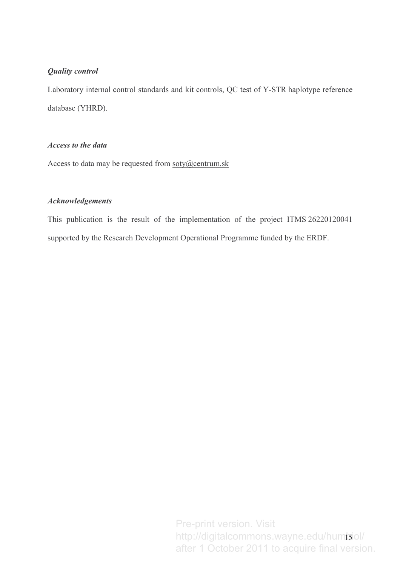## **Quality control**

Laboratory internal control standards and kit controls, QC test of Y-STR haplotype reference database (YHRD).

## Access to the data

Access to data may be requested from soty@centrum.sk

## **Acknowledgements**

This publication is the result of the implementation of the project ITMS 26220120041 supported by the Research Development Operational Programme funded by the ERDF.

> http://digitalcommons.wayne.edu/hum**jʒ**iol/ Pre-print version. Visit after 1 October 2011 to acquire final version.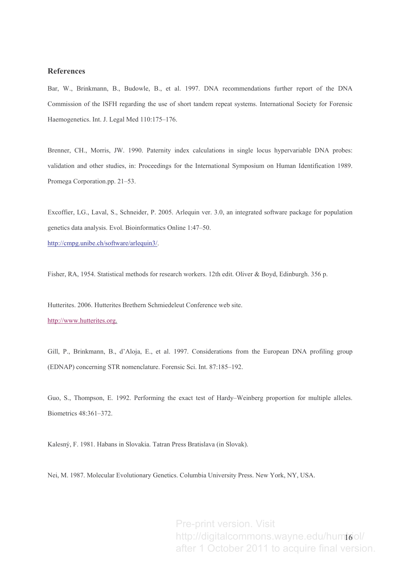### **References**

Bar, W., Brinkmann, B., Budowle, B., et al. 1997. DNA recommendations further report of the DNA Commission of the ISFH regarding the use of short tandem repeat systems. International Society for Forensic Haemogenetics. Int. J. Legal Med 110:175-176.

Brenner, CH., Morris, JW. 1990. Paternity index calculations in single locus hypervariable DNA probes: validation and other studies, in: Proceedings for the International Symposium on Human Identification 1989. Promega Corporation.pp. 21–53.

Excoffier, LG., Laval, S., Schneider, P. 2005. Arlequin ver. 3.0, an integrated software package for population genetics data analysis. Evol. Bioinformatics Online 1:47-50.

http://cmpg.unibe.ch/software/arlequin3/.

Fisher, RA, 1954. Statistical methods for research workers. 12th edit. Oliver & Boyd, Edinburgh. 356 p.

Hutterites. 2006. Hutterites Brethern Schmiedeleut Conference web site. http://www.hutterites.org.

Gill, P., Brinkmann, B., d'Aloja, E., et al. 1997. Considerations from the European DNA profiling group (EDNAP) concerning STR nomenclature. Forensic Sci. Int. 87:185–192.

Guo, S., Thompson, E. 1992. Performing the exact test of Hardy–Weinberg proportion for multiple alleles. Biometrics 48:361-372.

Kalesný, F. 1981. Habans in Slovakia. Tatran Press Bratislava (in Slovak).

Nei, M. 1987. Molecular Evolutionary Genetics. Columbia University Press. New York, NY, USA.

http://digitalcommons.wayne.edu/hum**j6**ol/ Pre-print version. Visit after 1 October 2011 to acquire final version.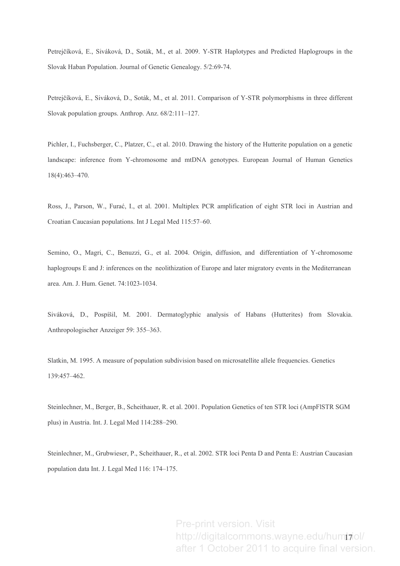Petrejčíková, E., Siváková, D., Soták, M., et al. 2009. Y-STR Haplotypes and Predicted Haplogroups in the Slovak Haban Population. Journal of Genetic Genealogy.  $5/2:69-74$ .

Petrejčíková, E., Siváková, D., Soták, M., et al. 2011. Comparison of Y-STR polymorphisms in three different Slovak population groups. Anthrop. Anz. 68/2:111-127.

Pichler, I., Fuchsberger, C., Platzer, C., et al. 2010. Drawing the history of the Hutterite population on a genetic landscape: inference from Y-chromosome and mtDNA genotypes. European Journal of Human Genetics  $18(4):463-470.$ 

Ross, J., Parson, W., Furać, I., et al. 2001. Multiplex PCR amplification of eight STR loci in Austrian and Croatian Caucasian populations. Int J Legal Med 115:57-60.

Semino, O., Magri, C., Benuzzi, G., et al. 2004. Origin, diffusion, and differentiation of Y-chromosome haplogroups E and J: inferences on the neolithization of Europe and later migratory events in the Mediterranean area. Am. J. Hum. Genet. 74:1023-1034.

Siváková, D., Pospíšil, M. 2001. Dermatoglyphic analysis of Habans (Hutterites) from Slovakia. Anthropologischer Anzeiger 59: 355–363.

Slatkin, M. 1995. A measure of population subdivision based on microsatellite allele frequencies. Genetics 139:457-462.

Steinlechner, M., Berger, B., Scheithauer, R. et al. 2001. Population Genetics of ten STR loci (AmpFISTR SGM plus) in Austria. Int. J. Legal Med 114:288-290.

Steinlechner, M., Grubwieser, P., Scheithauer, R., et al. 2002. STR loci Penta D and Penta E: Austrian Caucasian population data Int. J. Legal Med 116: 174-175.

> http://digitalcommons.wayne.edu/hum**i**<del>y</del>iol/ Pre-print version. Visit after 1 October 2011 to acquire final version.